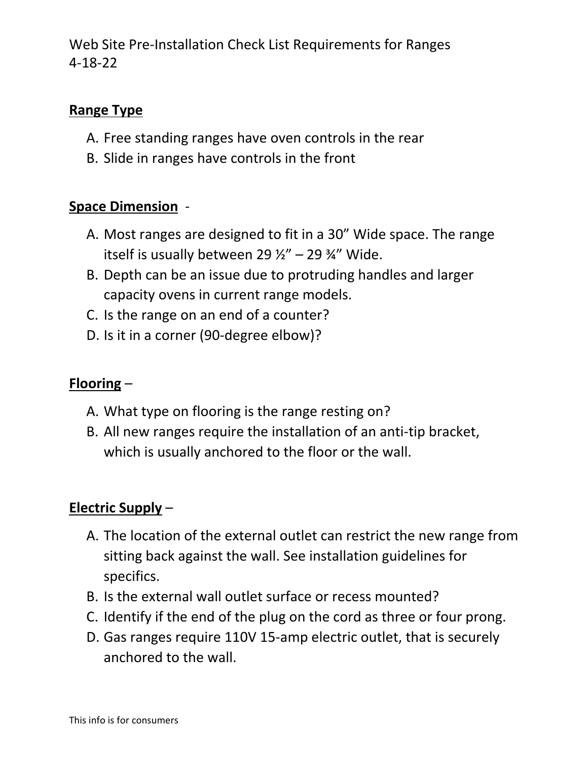Web Site Pre-Installation Check List Requirements for Ranges 4-18-22

### **Range Type**

- A. Free standing ranges have oven controls in the rear
- B. Slide in ranges have controls in the front

#### **Space Dimension** -

- A. Most ranges are designed to fit in a 30" Wide space. The range itself is usually between 29  $\frac{1}{2}$ " – 29  $\frac{3}{4}$ " Wide.
- B. Depth can be an issue due to protruding handles and larger capacity ovens in current range models.
- C. Is the range on an end of a counter?
- D. Is it in a corner (90-degree elbow)?

#### **Flooring** –

- A. What type on flooring is the range resting on?
- B. All new ranges require the installation of an anti-tip bracket, which is usually anchored to the floor or the wall.

## **Electric Supply** –

- A. The location of the external outlet can restrict the new range from sitting back against the wall. See installation guidelines for specifics.
- B. Is the external wall outlet surface or recess mounted?
- C. Identify if the end of the plug on the cord as three or four prong.
- D. Gas ranges require 110V 15-amp electric outlet, that is securely anchored to the wall.